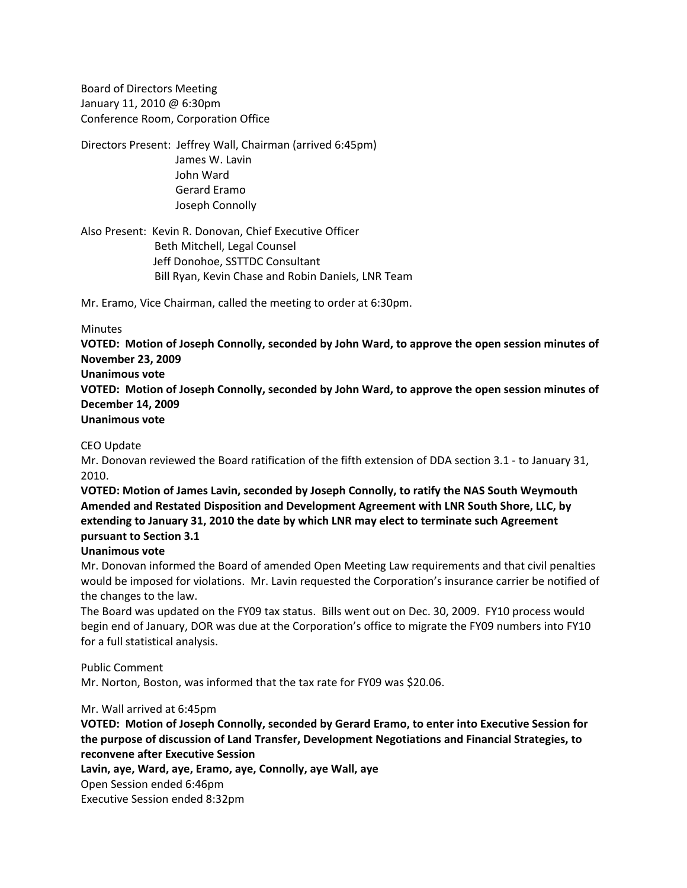Board of Directors Meeting January 11, 2010 @ 6:30pm Conference Room, Corporation Office

Directors Present: Jeffrey Wall, Chairman (arrived 6:45pm) James W. Lavin John Ward Gerard Eramo Joseph Connolly

Also Present: Kevin R. Donovan, Chief Executive Officer Beth Mitchell, Legal Counsel Jeff Donohoe, SSTTDC Consultant Bill Ryan, Kevin Chase and Robin Daniels, LNR Team

Mr. Eramo, Vice Chairman, called the meeting to order at 6:30pm.

#### **Minutes**

**VOTED: Motion of Joseph Connolly, seconded by John Ward, to approve the open session minutes of November 23, 2009** 

**Unanimous vote**

**VOTED: Motion of Joseph Connolly, seconded by John Ward, to approve the open session minutes of December 14, 2009** 

## **Unanimous vote**

#### CEO Update

Mr. Donovan reviewed the Board ratification of the fifth extension of DDA section 3.1 ‐ to January 31, 2010.

**VOTED: Motion of James Lavin, seconded by Joseph Connolly, to ratify the NAS South Weymouth Amended and Restated Disposition and Development Agreement with LNR South Shore, LLC, by extending to January 31, 2010 the date by which LNR may elect to terminate such Agreement pursuant to Section 3.1**

### **Unanimous vote**

Mr. Donovan informed the Board of amended Open Meeting Law requirements and that civil penalties would be imposed for violations. Mr. Lavin requested the Corporation's insurance carrier be notified of the changes to the law.

The Board was updated on the FY09 tax status. Bills went out on Dec. 30, 2009. FY10 process would begin end of January, DOR was due at the Corporation's office to migrate the FY09 numbers into FY10 for a full statistical analysis.

### Public Comment

Mr. Norton, Boston, was informed that the tax rate for FY09 was \$20.06.

### Mr. Wall arrived at 6:45pm

**VOTED: Motion of Joseph Connolly, seconded by Gerard Eramo, to enter into Executive Session for the purpose of discussion of Land Transfer, Development Negotiations and Financial Strategies, to reconvene after Executive Session**

**Lavin, aye, Ward, aye, Eramo, aye, Connolly, aye Wall, aye**

Open Session ended 6:46pm

Executive Session ended 8:32pm